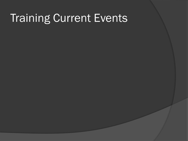### **Training Current Events**

- 
- - - -
		-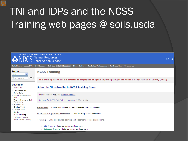# TNI and IDPs and the NCSS Training web pages @ soils.usda

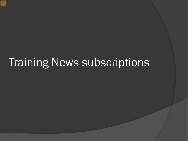### Training News subscriptions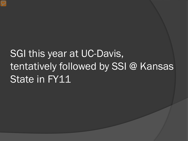# SGI this year at UC-Davis, tentatively followed by SSI @ Kansas State in FY11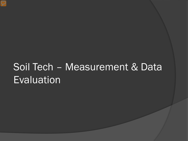### Soil Tech – Measurement & Data Evaluation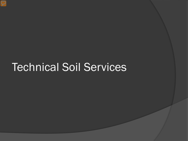### Technical Soil Services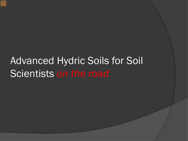### Advanced Hydric Soils for Soil Scientists *on the road*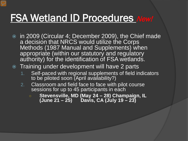### FSA Wetland ID Procedures New!

 in 2009 (Circular 4; December 2009), the Chief made a decision that NRCS would utilize the Corps Methods (1987 Manual and Supplements) when appropriate (within our statutory and regulatory authority) for the identification of FSA wetlands.

### • Training under development will have 2 parts

- 1. Self-paced with regional supplements of field indicators to be piloted soon (April availability?)
- 2. Classroom and field face to face with pilot course sessions for up to 45 participants in each
	- **Stevensville, MD (May 24 – 28) Champaign, IL (June 21 – 25) Davis, CA (July 19 – 23)**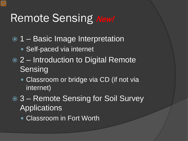### Remote Sensing New!

- 1 Basic Image Interpretation
	- Self-paced via internet
- 2 Introduction to Digital Remote **Sensing** 
	- Classroom or bridge via CD (if not via internet)
- **8 3 Remote Sensing for Soil Survey Applications** 
	- Classroom in Fort Worth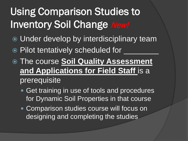# Using Comparison Studies to Inventory Soil Change New!

- Under develop by interdisciplinary team
- Pilot tentatively scheduled for
- The course **Soil Quality Assessment and Applications for Field Staff** is a prerequisite
	- Get training in use of tools and procedures for Dynamic Soil Properties in that course
	- Comparison studies course will focus on designing and completing the studies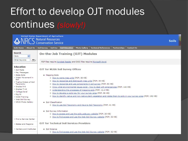### Effort to develop OJT modules continues *(slowly!)*

| <b>United States Department of Agriculture</b><br>C Natural Resources<br><b>Conservation Service</b>                                                                                       |                                                                                                                                                                                                                                                                                                                                                                                                                                                                                                                         | <b>Soils</b> |
|--------------------------------------------------------------------------------------------------------------------------------------------------------------------------------------------|-------------------------------------------------------------------------------------------------------------------------------------------------------------------------------------------------------------------------------------------------------------------------------------------------------------------------------------------------------------------------------------------------------------------------------------------------------------------------------------------------------------------------|--------------|
| <b>Soils Home</b>                                                                                                                                                                          | About Us   Soil Survey   Soil Use   Soil Education<br><b>Photo Gallery</b><br><b>Technical References</b><br>Partnerships<br><b>Contact Us</b>                                                                                                                                                                                                                                                                                                                                                                          |              |
| <b>Search</b><br>v<br><b>Soils</b>                                                                                                                                                         | <b>On-the-Job Training (OJT) Modules</b>                                                                                                                                                                                                                                                                                                                                                                                                                                                                                |              |
| GO<br>Enter Keywords                                                                                                                                                                       | PDF files require Acrobat Reader and DOC files require Microsoft Word.                                                                                                                                                                                                                                                                                                                                                                                                                                                  |              |
| <b>Education</b><br><b>ESoil Facts</b><br>▶ Key Messages<br>▶ State Soils                                                                                                                  | <b>OJT for MLRA Soil Survey Offices</b><br>• Mapping Soils                                                                                                                                                                                                                                                                                                                                                                                                                                                              |              |
| ▶ Water Movement in<br>Soil<br>▶ Twelve Orders of Soil<br>Taxonomy<br>▶ Grades K-6<br>$\triangleright$ Grades 7-12<br>▶ College level<br>→ Dig It!<br>▶ NCSS Training<br>▶ Web Soil Survey | O How to name map units (PDF; 36 KB)<br>O How to recognize and distinguish map units (PDF; 35 KB)<br>O How to recognize and use components in soil survey (PDF; 80 KB)<br>O Know what environmental issues exist - how to deal with emergencies (PDF; 142 KB)<br>O Understanding the processes of mapping soils (PDF; 12.2 MB)<br>O How to develop a soils key for your survey area (PDF; 86 KB)<br>O How to identify native and non-native plant vegetation and relate them to soils in your survey area (PDF; 192 KB) |              |
| ▶ NRCS Photo Gallery                                                                                                                                                                       | • Soil Classification<br>O How to use Soil Taxonomy and Keys to Soil Taxonomy (PDF; 41 KB)                                                                                                                                                                                                                                                                                                                                                                                                                              |              |
|                                                                                                                                                                                            | • Soil Survey Information<br>O How to access and use the soils, usda, gov website (PDF; 26 KB)<br>O How to find access and use the Web Soil Survey website (PDF; 32 KB)                                                                                                                                                                                                                                                                                                                                                 |              |
| Eind a Service Center                                                                                                                                                                      |                                                                                                                                                                                                                                                                                                                                                                                                                                                                                                                         |              |
| ▶ States and Regions                                                                                                                                                                       | <b>OIT for Technical Soil Services Providers</b>                                                                                                                                                                                                                                                                                                                                                                                                                                                                        |              |
| Centers and Institutes                                                                                                                                                                     | • Soil Science<br>O How to find access and use the Web Soil Survey website (PDF; 32 KB)                                                                                                                                                                                                                                                                                                                                                                                                                                 |              |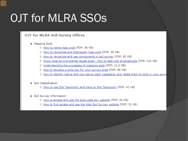# **OJT for MLRA SSOs**

### **OJT for MLRA Soil Survey Offices**

- Mapping Soils
	- O How to name map units (PDF; 36 KB)
	- O How to recognize and distinguish map units (PDF; 35 KB)
	- O How to recognize and use components in soil survey (PDF; 80 KB)
	- O Know what environmental issues exist how to deal with emergencies (PDF; 142 KB)
	- O Understanding the processes of mapping soils (PDF; 12.2 MB)
	- O How to develop a soils key for your survey area (PDF; 86 KB)
	- O How to identify native and non-native plant vegetation and relate them to soils in your surve

#### • Soil Classification

- O How to use Soil Taxonomy and Keys to Soil Taxonomy (PDF; 41 KB)
- Soil Survey Information
	- O How to access and use the soils.usda.gov website (PDF; 26 KB)
	- O How to find access and use the Web Soil Survey website (PDF; 32 KB)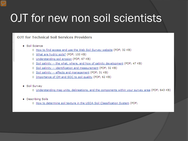# OJT for new non soil scientists

### **OJT for Technical Soil Services Providers**

### • Soil Science

- O How to find access and use the Web Soil Survey website (PDF; 32 KB)
- o What are hydric soils? (PDF; 100 KB)
- O Understanding soil erosion (PDF; 67 KB)
- O Soil salinity -- the what, where, and how of salinity development (PDF; 47 KB)
- O Soil salinity -- identification and measurement (PDF; 32 KB)
- O Soil salinity -- effects and management (PDF; 31 KB)
- O Importance of OM and SOC to soil quality (PDF; 62 KB)

#### • Soil Survey

O Understanding map units, delineations, and the components within your survey area (PDF; 643 KB)

### • Describing Soils

o How to determine soil texture in the USDA Soil Classification System (PDF;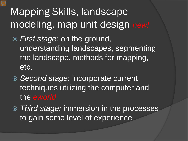# Mapping Skills, landscape modeling, map unit design *new!*

- *First stage:* on the ground, understanding landscapes, segmenting the landscape, methods for mapping, etc.
- *Second stage*: incorporate current techniques utilizing the computer and the *eworld*
- *Third stage:* immersion in the processes to gain some level of experience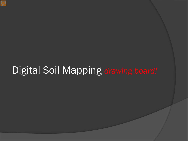### Digital Soil Mapping *drawing board!*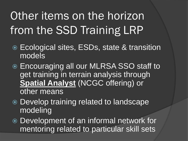# Other items on the horizon from the SSD Training LRP

- Ecological sites, ESDs, state & transition models
- **■** Encouraging all our MLRSA SSO staff to get training in terrain analysis through **Spatial Analyst** (NCGC offering) or other means
- Develop training related to landscape modeling
- Development of an informal network for mentoring related to particular skill sets